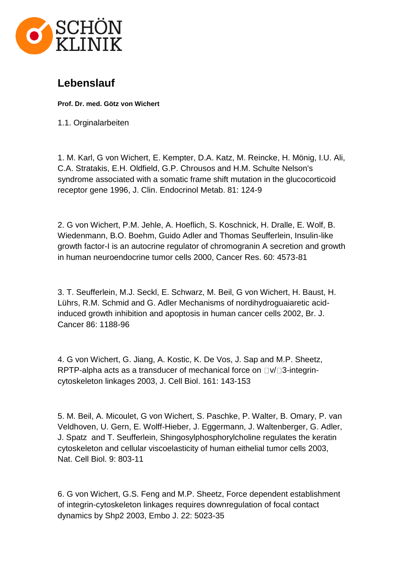

## **Lebenslauf**

**Prof. Dr. med. Götz von Wichert**

1.1. Orginalarbeiten

1. M. Karl, G von Wichert, E. Kempter, D.A. Katz, M. Reincke, H. Mönig, I.U. Ali, C.A. Stratakis, E.H. Oldfield, G.P. Chrousos and H.M. Schulte Nelson's syndrome associated with a somatic frame shift mutation in the glucocorticoid receptor gene 1996, J. Clin. Endocrinol Metab. 81: 124-9

2. G von Wichert, P.M. Jehle, A. Hoeflich, S. Koschnick, H. Dralle, E. Wolf, B. Wiedenmann, B.O. Boehm, Guido Adler and Thomas Seufferlein, Insulin-like growth factor-I is an autocrine regulator of chromogranin A secretion and growth in human neuroendocrine tumor cells 2000, Cancer Res. 60: 4573-81

3. T. Seufferlein, M.J. Seckl, E. Schwarz, M. Beil, G von Wichert, H. Baust, H. Lührs, R.M. Schmid and G. Adler Mechanisms of nordihydroguaiaretic acidinduced growth inhibition and apoptosis in human cancer cells 2002, Br. J. Cancer 86: 1188-96

4. G von Wichert, G. Jiang, A. Kostic, K. De Vos, J. Sap and M.P. Sheetz, RPTP-alpha acts as a transducer of mechanical force on  $\Box$   $\lor$   $\Box$ 3-integrincytoskeleton linkages 2003, J. Cell Biol. 161: 143-153

5. M. Beil, A. Micoulet, G von Wichert, S. Paschke, P. Walter, B. Omary, P. van Veldhoven, U. Gern, E. Wolff-Hieber, J. Eggermann, J. Waltenberger, G. Adler, J. Spatz and T. Seufferlein, Shingosylphosphorylcholine regulates the keratin cytoskeleton and cellular viscoelasticity of human eithelial tumor cells 2003, Nat. Cell Biol. 9: 803-11

6. G von Wichert, G.S. Feng and M.P. Sheetz, Force dependent establishment of integrin-cytoskeleton linkages requires downregulation of focal contact dynamics by Shp2 2003, Embo J. 22: 5023-35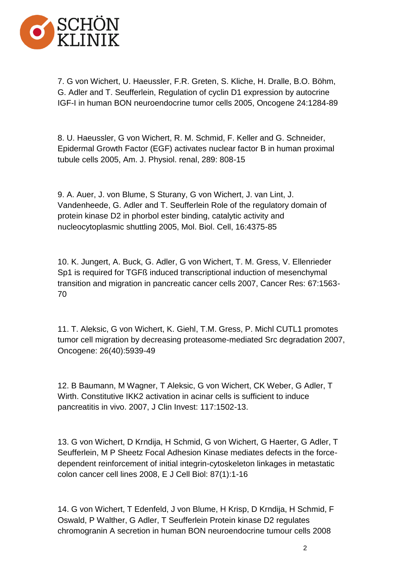

7. G von Wichert, U. Haeussler, F.R. Greten, S. Kliche, H. Dralle, B.O. Böhm, G. Adler and T. Seufferlein, Regulation of cyclin D1 expression by autocrine IGF-I in human BON neuroendocrine tumor cells 2005, Oncogene 24:1284-89

8. U. Haeussler, G von Wichert, R. M. Schmid, F. Keller and G. Schneider, Epidermal Growth Factor (EGF) activates nuclear factor B in human proximal tubule cells 2005, Am. J. Physiol. renal, 289: 808-15

9. A. Auer, J. von Blume, S Sturany, G von Wichert, J. van Lint, J. Vandenheede, G. Adler and T. Seufferlein Role of the regulatory domain of protein kinase D2 in phorbol ester binding, catalytic activity and nucleocytoplasmic shuttling 2005, Mol. Biol. Cell, 16:4375-85

10. K. Jungert, A. Buck, G. Adler, G von Wichert, T. M. Gress, V. Ellenrieder Sp1 is required for TGFß induced transcriptional induction of mesenchymal transition and migration in pancreatic cancer cells 2007, Cancer Res: 67:1563- 70

11. T. Aleksic, G von Wichert, K. Giehl, T.M. Gress, P. Michl CUTL1 promotes tumor cell migration by decreasing proteasome-mediated Src degradation 2007, Oncogene: 26(40):5939-49

12. B Baumann, M Wagner, T Aleksic, G von Wichert, CK Weber, G Adler, T Wirth. Constitutive IKK2 activation in acinar cells is sufficient to induce pancreatitis in vivo. 2007, J Clin Invest: 117:1502-13.

13. G von Wichert, D Krndija, H Schmid, G von Wichert, G Haerter, G Adler, T Seufferlein, M P Sheetz Focal Adhesion Kinase mediates defects in the forcedependent reinforcement of initial integrin-cytoskeleton linkages in metastatic colon cancer cell lines 2008, E J Cell Biol: 87(1):1-16

14. G von Wichert, T Edenfeld, J von Blume, H Krisp, D Krndija, H Schmid, F Oswald, P Walther, G Adler, T Seufferlein Protein kinase D2 regulates chromogranin A secretion in human BON neuroendocrine tumour cells 2008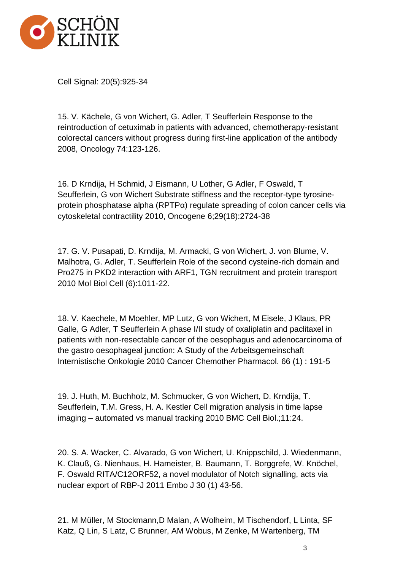

Cell Signal: 20(5):925-34

15. V. Kächele, G von Wichert, G. Adler, T Seufferlein Response to the reintroduction of cetuximab in patients with advanced, chemotherapy-resistant colorectal cancers without progress during first-line application of the antibody 2008, Oncology 74:123-126.

16. D Krndija, H Schmid, J Eismann, U Lother, G Adler, F Oswald, T Seufferlein, G von Wichert Substrate stiffness and the receptor-type tyrosineprotein phosphatase alpha (RPTPα) regulate spreading of colon cancer cells via cytoskeletal contractility 2010, Oncogene 6;29(18):2724-38

17. G. V. Pusapati, D. Krndija, M. Armacki, G von Wichert, J. von Blume, V. Malhotra, G. Adler, T. Seufferlein Role of the second cysteine-rich domain and Pro275 in PKD2 interaction with ARF1, TGN recruitment and protein transport 2010 Mol Biol Cell (6):1011-22.

18. V. Kaechele, M Moehler, MP Lutz, G von Wichert, M Eisele, J Klaus, PR Galle, G Adler, T Seufferlein A phase I/II study of oxaliplatin and paclitaxel in patients with non-resectable cancer of the oesophagus and adenocarcinoma of the gastro oesophageal junction: A Study of the Arbeitsgemeinschaft Internistische Onkologie 2010 Cancer Chemother Pharmacol. 66 (1) : 191-5

19. J. Huth, M. Buchholz, M. Schmucker, G von Wichert, D. Krndija, T. Seufferlein, T.M. Gress, H. A. Kestler Cell migration analysis in time lapse imaging – automated vs manual tracking 2010 BMC Cell Biol.;11:24.

20. S. A. Wacker, C. Alvarado, G von Wichert, U. Knippschild, J. Wiedenmann, K. Clauß, G. Nienhaus, H. Hameister, B. Baumann, T. Borggrefe, W. Knöchel, F. Oswald RITA/C12ORF52, a novel modulator of Notch signalling, acts via nuclear export of RBP-J 2011 Embo J 30 (1) 43-56.

21. M Müller, M Stockmann,D Malan, A Wolheim, M Tischendorf, L Linta, SF Katz, Q Lin, S Latz, C Brunner, AM Wobus, M Zenke, M Wartenberg, TM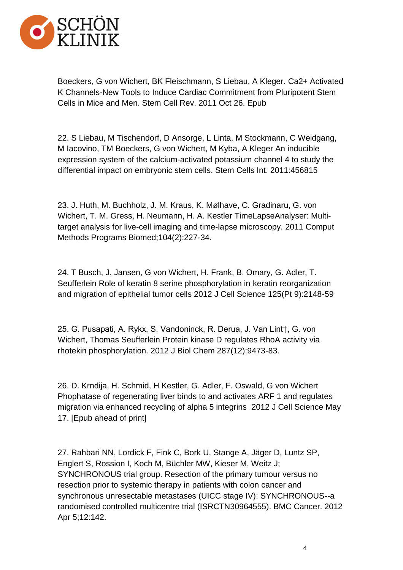

Boeckers, G von Wichert, BK Fleischmann, S Liebau, A Kleger. Ca2+ Activated K Channels-New Tools to Induce Cardiac Commitment from Pluripotent Stem Cells in Mice and Men. Stem Cell Rev. 2011 Oct 26. Epub

22. S Liebau, M Tischendorf, D Ansorge, L Linta, M Stockmann, C Weidgang, M Iacovino, TM Boeckers, G von Wichert, M Kyba, A Kleger An inducible expression system of the calcium-activated potassium channel 4 to study the differential impact on embryonic stem cells. Stem Cells Int. 2011:456815

23. J. Huth, M. Buchholz, J. M. Kraus, K. Mølhave, C. Gradinaru, G. von Wichert, T. M. Gress, H. Neumann, H. A. Kestler TimeLapseAnalyser: Multitarget analysis for live-cell imaging and time-lapse microscopy. 2011 Comput Methods Programs Biomed;104(2):227-34.

24. T Busch, J. Jansen, G von Wichert, H. Frank, B. Omary, G. Adler, T. Seufferlein Role of keratin 8 serine phosphorylation in keratin reorganization and migration of epithelial tumor cells 2012 J Cell Science 125(Pt 9):2148-59

25. G. Pusapati, A. Rykx, S. Vandoninck, R. Derua, J. Van Lint†, G. von Wichert, Thomas Seufferlein Protein kinase D regulates RhoA activity via rhotekin phosphorylation. 2012 J Biol Chem 287(12):9473-83.

26. D. Krndija, H. Schmid, H Kestler, G. Adler, F. Oswald, G von Wichert Phophatase of regenerating liver binds to and activates ARF 1 and regulates migration via enhanced recycling of alpha 5 integrins 2012 J Cell Science May 17. [Epub ahead of print]

27. Rahbari NN, Lordick F, Fink C, Bork U, Stange A, Jäger D, Luntz SP, Englert S, Rossion I, Koch M, Büchler MW, Kieser M, Weitz J; SYNCHRONOUS trial group. Resection of the primary tumour versus no resection prior to systemic therapy in patients with colon cancer and synchronous unresectable metastases (UICC stage IV): SYNCHRONOUS--a randomised controlled multicentre trial (ISRCTN30964555). BMC Cancer. 2012 Apr 5;12:142.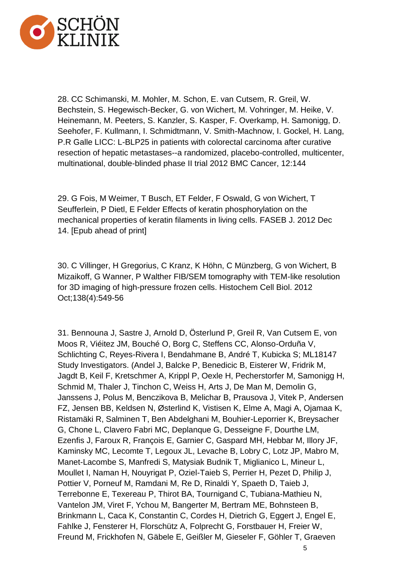

28. CC Schimanski, M. Mohler, M. Schon, E. van Cutsem, R. Greil, W. Bechstein, S. Hegewisch-Becker, G. von Wichert, M. Vohringer, M. Heike, V. Heinemann, M. Peeters, S. Kanzler, S. Kasper, F. Overkamp, H. Samonigg, D. Seehofer, F. Kullmann, I. Schmidtmann, V. Smith-Machnow, I. Gockel, H. Lang, P.R Galle LICC: L-BLP25 in patients with colorectal carcinoma after curative resection of hepatic metastases--a randomized, placebo-controlled, multicenter, multinational, double-blinded phase II trial 2012 BMC Cancer, 12:144

29. G Fois, M Weimer, T Busch, ET Felder, F Oswald, G von Wichert, T Seufferlein, P Dietl, E Felder Effects of keratin phosphorylation on the mechanical properties of keratin filaments in living cells. FASEB J. 2012 Dec 14. [Epub ahead of print]

30. C Villinger, H Gregorius, C Kranz, K Höhn, C Münzberg, G von Wichert, B Mizaikoff, G Wanner, P Walther FIB/SEM tomography with TEM-like resolution for 3D imaging of high-pressure frozen cells. Histochem Cell Biol. 2012 Oct;138(4):549-56

31. Bennouna J, Sastre J, Arnold D, Österlund P, Greil R, Van Cutsem E, von Moos R, Viéitez JM, Bouché O, Borg C, Steffens CC, Alonso-Orduña V, Schlichting C, Reyes-Rivera I, Bendahmane B, André T, Kubicka S; ML18147 Study Investigators. (Andel J, Balcke P, Benedicic B, Eisterer W, Fridrik M, Jagdt B, Keil F, Kretschmer A, Krippl P, Oexle H, Pecherstorfer M, Samonigg H, Schmid M, Thaler J, Tinchon C, Weiss H, Arts J, De Man M, Demolin G, Janssens J, Polus M, Benczikova B, Melichar B, Prausova J, Vitek P, Andersen FZ, Jensen BB, Keldsen N, Østerlind K, Vistisen K, Elme A, Magi A, Ojamaa K, Ristamäki R, Salminen T, Ben Abdelghani M, Bouhier-Leporrier K, Breysacher G, Chone L, Clavero Fabri MC, Deplanque G, Desseigne F, Dourthe LM, Ezenfis J, Faroux R, François E, Garnier C, Gaspard MH, Hebbar M, Illory JF, Kaminsky MC, Lecomte T, Legoux JL, Levache B, Lobry C, Lotz JP, Mabro M, Manet-Lacombe S, Manfredi S, Matysiak Budnik T, Miglianico L, Mineur L, Moullet I, Naman H, Nouyrigat P, Oziel-Taieb S, Perrier H, Pezet D, Philip J, Pottier V, Porneuf M, Ramdani M, Re D, Rinaldi Y, Spaeth D, Taieb J, Terrebonne E, Texereau P, Thirot BA, Tournigand C, Tubiana-Mathieu N, Vantelon JM, Viret F, Ychou M, Bangerter M, Bertram ME, Bohnsteen B, Brinkmann L, Caca K, Constantin C, Cordes H, Dietrich G, Eggert J, Engel E, Fahlke J, Fensterer H, Florschütz A, Folprecht G, Forstbauer H, Freier W, Freund M, Frickhofen N, Gäbele E, Geißler M, Gieseler F, Göhler T, Graeven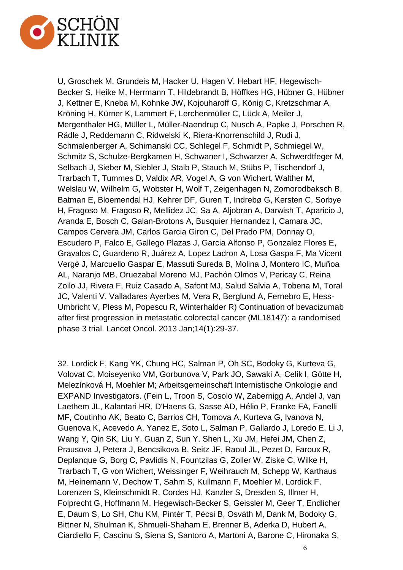

U, Groschek M, Grundeis M, Hacker U, Hagen V, Hebart HF, Hegewisch-Becker S, Heike M, Herrmann T, Hildebrandt B, Höffkes HG, Hübner G, Hübner J, Kettner E, Kneba M, Kohnke JW, Kojouharoff G, König C, Kretzschmar A, Kröning H, Kürner K, Lammert F, Lerchenmüller C, Lück A, Meiler J, Mergenthaler HG, Müller L, Müller-Naendrup C, Nusch A, Papke J, Porschen R, Rädle J, Reddemann C, Ridwelski K, Riera-Knorrenschild J, Rudi J, Schmalenberger A, Schimanski CC, Schlegel F, Schmidt P, Schmiegel W, Schmitz S, Schulze-Bergkamen H, Schwaner I, Schwarzer A, Schwerdtfeger M, Selbach J, Sieber M, Siebler J, Staib P, Stauch M, Stübs P, Tischendorf J, Trarbach T, Tummes D, Valdix AR, Vogel A, G von Wichert, Walther M, Welslau W, Wilhelm G, Wobster H, Wolf T, Zeigenhagen N, Zomorodbaksch B, Batman E, Bloemendal HJ, Kehrer DF, Guren T, Indrebø G, Kersten C, Sorbye H, Fragoso M, Fragoso R, Mellidez JC, Sa A, Aljobran A, Darwish T, Aparicio J, Aranda E, Bosch C, Galan-Brotons A, Busquier Hernandez I, Camara JC, Campos Cervera JM, Carlos Garcia Giron C, Del Prado PM, Donnay O, Escudero P, Falco E, Gallego Plazas J, Garcia Alfonso P, Gonzalez Flores E, Gravalos C, Guardeno R, Juárez A, Lopez Ladron A, Losa Gaspa F, Ma Vicent Vergé J, Marcuello Gaspar E, Massuti Sureda B, Molina J, Montero IC, Muñoa AL, Naranjo MB, Oruezabal Moreno MJ, Pachón Olmos V, Pericay C, Reina Zoilo JJ, Rivera F, Ruiz Casado A, Safont MJ, Salud Salvia A, Tobena M, Toral JC, Valenti V, Valladares Ayerbes M, Vera R, Berglund A, Fernebro E, Hess-Umbricht V, Pless M, Popescu R, Winterhalder R) Continuation of bevacizumab after first progression in metastatic colorectal cancer (ML18147): a randomised phase 3 trial. Lancet Oncol. 2013 Jan;14(1):29-37.

32. Lordick F, Kang YK, Chung HC, Salman P, Oh SC, Bodoky G, Kurteva G, Volovat C, Moiseyenko VM, Gorbunova V, Park JO, Sawaki A, Celik I, Götte H, Melezínková H, Moehler M; Arbeitsgemeinschaft Internistische Onkologie and EXPAND Investigators. (Fein L, Troon S, Cosolo W, Zabernigg A, Andel J, van Laethem JL, Kalantari HR, D'Haens G, Sasse AD, Hélio P, Franke FA, Fanelli MF, Coutinho AK, Beato C, Barrios CH, Tomova A, Kurteva G, Ivanova N, Guenova K, Acevedo A, Yanez E, Soto L, Salman P, Gallardo J, Loredo E, Li J, Wang Y, Qin SK, Liu Y, Guan Z, Sun Y, Shen L, Xu JM, Hefei JM, Chen Z, Prausova J, Petera J, Bencsikova B, Seitz JF, Raoul JL, Pezet D, Faroux R, Deplanque G, Borg C, Pavlidis N, Fountzilas G, Zoller W, Ziske C, Wilke H, Trarbach T, G von Wichert, Weissinger F, Weihrauch M, Schepp W, Karthaus M, Heinemann V, Dechow T, Sahm S, Kullmann F, Moehler M, Lordick F, Lorenzen S, Kleinschmidt R, Cordes HJ, Kanzler S, Dresden S, Illmer H, Folprecht G, Hoffmann M, Hegewisch-Becker S, Geissler M, Geer T, Endlicher E, Daum S, Lo SH, Chu KM, Pintér T, Pécsi B, Osváth M, Dank M, Bodoky G, Bittner N, Shulman K, Shmueli-Shaham E, Brenner B, Aderka D, Hubert A, Ciardiello F, Cascinu S, Siena S, Santoro A, Martoni A, Barone C, Hironaka S,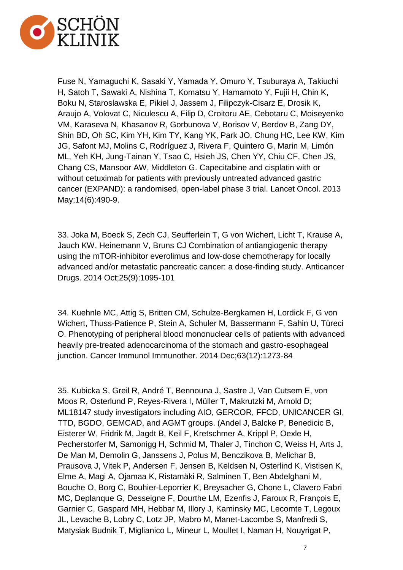

Fuse N, Yamaguchi K, Sasaki Y, Yamada Y, Omuro Y, Tsuburaya A, Takiuchi H, Satoh T, Sawaki A, Nishina T, Komatsu Y, Hamamoto Y, Fujii H, Chin K, Boku N, Staroslawska E, Pikiel J, Jassem J, Filipczyk-Cisarz E, Drosik K, Araujo A, Volovat C, Niculescu A, Filip D, Croitoru AE, Cebotaru C, Moiseyenko VM, Karaseva N, Khasanov R, Gorbunova V, Borisov V, Berdov B, Zang DY, Shin BD, Oh SC, Kim YH, Kim TY, Kang YK, Park JO, Chung HC, Lee KW, Kim JG, Safont MJ, Molins C, Rodríguez J, Rivera F, Quintero G, Marin M, Limón ML, Yeh KH, Jung-Tainan Y, Tsao C, Hsieh JS, Chen YY, Chiu CF, Chen JS, Chang CS, Mansoor AW, Middleton G. Capecitabine and cisplatin with or without cetuximab for patients with previously untreated advanced gastric cancer (EXPAND): a randomised, open-label phase 3 trial. Lancet Oncol. 2013 May;14(6):490-9.

33. Joka M, Boeck S, Zech CJ, Seufferlein T, G von Wichert, Licht T, Krause A, Jauch KW, Heinemann V, Bruns CJ Combination of antiangiogenic therapy using the mTOR-inhibitor everolimus and low-dose chemotherapy for locally advanced and/or metastatic pancreatic cancer: a dose-finding study. Anticancer Drugs. 2014 Oct;25(9):1095-101

34. Kuehnle MC, Attig S, Britten CM, Schulze-Bergkamen H, Lordick F, G von Wichert, Thuss-Patience P, Stein A, Schuler M, Bassermann F, Sahin U, Türeci O. Phenotyping of peripheral blood mononuclear cells of patients with advanced heavily pre-treated adenocarcinoma of the stomach and gastro-esophageal junction. Cancer Immunol Immunother. 2014 Dec;63(12):1273-84

35. Kubicka S, Greil R, André T, Bennouna J, Sastre J, Van Cutsem E, von Moos R, Osterlund P, Reyes-Rivera I, Müller T, Makrutzki M, Arnold D; ML18147 study investigators including AIO, GERCOR, FFCD, UNICANCER GI, TTD, BGDO, GEMCAD, and AGMT groups. (Andel J, Balcke P, Benedicic B, Eisterer W, Fridrik M, Jagdt B, Keil F, Kretschmer A, Krippl P, Oexle H, Pecherstorfer M, Samonigg H, Schmid M, Thaler J, Tinchon C, Weiss H, Arts J, De Man M, Demolin G, Janssens J, Polus M, Benczikova B, Melichar B, Prausova J, Vitek P, Andersen F, Jensen B, Keldsen N, Osterlind K, Vistisen K, Elme A, Magi A, Ojamaa K, Ristamäki R, Salminen T, Ben Abdelghani M, Bouche O, Borg C, Bouhier-Leporrier K, Breysacher G, Chone L, Clavero Fabri MC, Deplanque G, Desseigne F, Dourthe LM, Ezenfis J, Faroux R, François E, Garnier C, Gaspard MH, Hebbar M, Illory J, Kaminsky MC, Lecomte T, Legoux JL, Levache B, Lobry C, Lotz JP, Mabro M, Manet-Lacombe S, Manfredi S, Matysiak Budnik T, Miglianico L, Mineur L, Moullet I, Naman H, Nouyrigat P,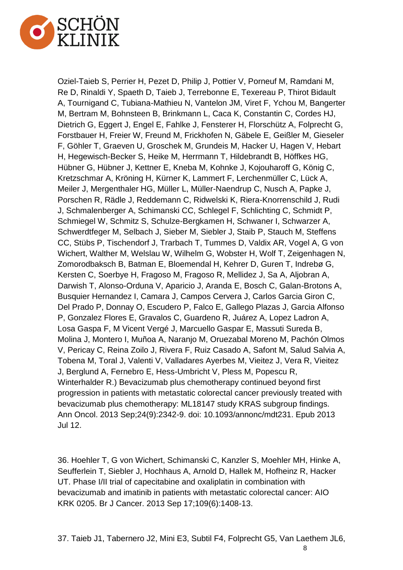

Oziel-Taieb S, Perrier H, Pezet D, Philip J, Pottier V, Porneuf M, Ramdani M, Re D, Rinaldi Y, Spaeth D, Taieb J, Terrebonne E, Texereau P, Thirot Bidault A, Tournigand C, Tubiana-Mathieu N, Vantelon JM, Viret F, Ychou M, Bangerter M, Bertram M, Bohnsteen B, Brinkmann L, Caca K, Constantin C, Cordes HJ, Dietrich G, Eggert J, Engel E, Fahlke J, Fensterer H, Florschütz A, Folprecht G, Forstbauer H, Freier W, Freund M, Frickhofen N, Gäbele E, Geißler M, Gieseler F, Göhler T, Graeven U, Groschek M, Grundeis M, Hacker U, Hagen V, Hebart H, Hegewisch-Becker S, Heike M, Herrmann T, Hildebrandt B, Höffkes HG, Hübner G, Hübner J, Kettner E, Kneba M, Kohnke J, Kojouharoff G, König C, Kretzschmar A, Kröning H, Kürner K, Lammert F, Lerchenmüller C, Lück A, Meiler J, Mergenthaler HG, Müller L, Müller-Naendrup C, Nusch A, Papke J, Porschen R, Rädle J, Reddemann C, Ridwelski K, Riera-Knorrenschild J, Rudi J, Schmalenberger A, Schimanski CC, Schlegel F, Schlichting C, Schmidt P, Schmiegel W, Schmitz S, Schulze-Bergkamen H, Schwaner I, Schwarzer A, Schwerdtfeger M, Selbach J, Sieber M, Siebler J, Staib P, Stauch M, Steffens CC, Stübs P, Tischendorf J, Trarbach T, Tummes D, Valdix AR, Vogel A, G von Wichert, Walther M, Welslau W, Wilhelm G, Wobster H, Wolf T, Zeigenhagen N, Zomorodbaksch B, Batman E, Bloemendal H, Kehrer D, Guren T, Indrebø G, Kersten C, Soerbye H, Fragoso M, Fragoso R, Mellidez J, Sa A, Aljobran A, Darwish T, Alonso-Orduna V, Aparicio J, Aranda E, Bosch C, Galan-Brotons A, Busquier Hernandez I, Camara J, Campos Cervera J, Carlos Garcia Giron C, Del Prado P, Donnay O, Escudero P, Falco E, Gallego Plazas J, Garcia Alfonso P, Gonzalez Flores E, Gravalos C, Guardeno R, Juárez A, Lopez Ladron A, Losa Gaspa F, M Vicent Vergé J, Marcuello Gaspar E, Massuti Sureda B, Molina J, Montero I, Muñoa A, Naranjo M, Oruezabal Moreno M, Pachón Olmos V, Pericay C, Reina Zoilo J, Rivera F, Ruiz Casado A, Safont M, Salud Salvia A, Tobena M, Toral J, Valenti V, Valladares Ayerbes M, Vieitez J, Vera R, Vieitez J, Berglund A, Fernebro E, Hess-Umbricht V, Pless M, Popescu R, Winterhalder R.) Bevacizumab plus chemotherapy continued beyond first progression in patients with metastatic colorectal cancer previously treated with bevacizumab plus chemotherapy: ML18147 study KRAS subgroup findings. Ann Oncol. 2013 Sep;24(9):2342-9. doi: 10.1093/annonc/mdt231. Epub 2013 Jul 12.

36. Hoehler T, G von Wichert, Schimanski C, Kanzler S, Moehler MH, Hinke A, Seufferlein T, Siebler J, Hochhaus A, Arnold D, Hallek M, Hofheinz R, Hacker UT. Phase I/II trial of capecitabine and oxaliplatin in combination with bevacizumab and imatinib in patients with metastatic colorectal cancer: AIO KRK 0205. Br J Cancer. 2013 Sep 17;109(6):1408-13.

8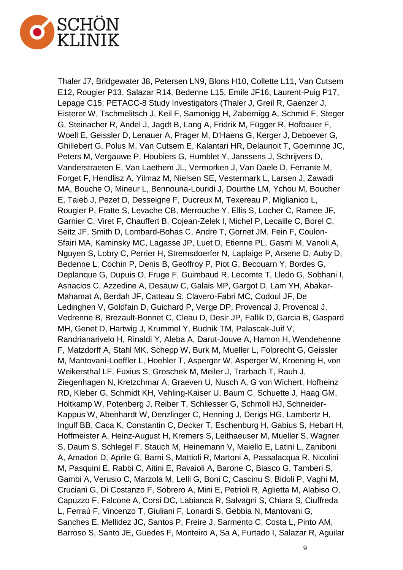

Thaler J7, Bridgewater J8, Petersen LN9, Blons H10, Collette L11, Van Cutsem E12, Rougier P13, Salazar R14, Bedenne L15, Emile JF16, Laurent-Puig P17, Lepage C15; PETACC-8 Study Investigators (Thaler J, Greil R, Gaenzer J, Eisterer W, Tschmelitsch J, Keil F, Samonigg H, Zabernigg A, Schmid F, Steger G, Steinacher R, Andel J, Jagdt B, Lang A, Fridrik M, Függer R, Hofbauer F, Woell E, Geissler D, Lenauer A, Prager M, D'Haens G, Kerger J, Deboever G, Ghillebert G, Polus M, Van Cutsem E, Kalantari HR, Delaunoit T, Goeminne JC, Peters M, Vergauwe P, Houbiers G, Humblet Y, Janssens J, Schrijvers D, Vanderstraeten E, Van Laethem JL, Vermorken J, Van Daele D, Ferrante M, Forget F, Hendlisz A, Yilmaz M, Nielsen SE, Vestermark L, Larsen J, Zawadi MA, Bouche O, Mineur L, Bennouna-Louridi J, Dourthe LM, Ychou M, Boucher E, Taieb J, Pezet D, Desseigne F, Ducreux M, Texereau P, Miglianico L, Rougier P, Fratte S, Levache CB, Merrouche Y, Ellis S, Locher C, Ramee JF, Garnier C, Viret F, Chauffert B, Cojean-Zelek I, Michel P, Lecaille C, Borel C, Seitz JF, Smith D, Lombard-Bohas C, Andre T, Gornet JM, Fein F, Coulon-Sfairi MA, Kaminsky MC, Lagasse JP, Luet D, Etienne PL, Gasmi M, Vanoli A, Nguyen S, Lobry C, Perrier H, Stremsdoerfer N, Laplaige P, Arsene D, Auby D, Bedenne L, Cochin P, Denis B, Geoffroy P, Piot G, Becouarn Y, Bordes G, Deplanque G, Dupuis O, Fruge F, Guimbaud R, Lecomte T, Lledo G, Sobhani I, Asnacios C, Azzedine A, Desauw C, Galais MP, Gargot D, Lam YH, Abakar-Mahamat A, Berdah JF, Catteau S, Clavero-Fabri MC, Codoul JF, De Ledinghen V, Goldfain D, Guichard P, Verge DP, Provencal J, Provencal J, Vedrenne B, Brezault-Bonnet C, Cleau D, Desir JP, Fallik D, Garcia B, Gaspard MH, Genet D, Hartwig J, Krummel Y, Budnik TM, Palascak-Juif V, Randrianarivelo H, Rinaldi Y, Aleba A, Darut-Jouve A, Hamon H, Wendehenne F, Matzdorff A, Stahl MK, Schepp W, Burk M, Mueller L, Folprecht G, Geissler M, Mantovani-Loeffler L, Hoehler T, Asperger W, Asperger W, Kroening H, von Weikersthal LF, Fuxius S, Groschek M, Meiler J, Trarbach T, Rauh J, Ziegenhagen N, Kretzchmar A, Graeven U, Nusch A, G von Wichert, Hofheinz RD, Kleber G, Schmidt KH, Vehling-Kaiser U, Baum C, Schuette J, Haag GM, Holtkamp W, Potenberg J, Reiber T, Schliesser G, Schmoll HJ, Schneider-Kappus W, Abenhardt W, Denzlinger C, Henning J, Derigs HG, Lambertz H, Ingulf BB, Caca K, Constantin C, Decker T, Eschenburg H, Gabius S, Hebart H, Hoffmeister A, Heinz-August H, Kremers S, Leithaeuser M, Mueller S, Wagner S, Daum S, Schlegel F, Stauch M, Heinemann V, Maiello E, Latini L, Zaniboni A, Amadori D, Aprile G, Barni S, Mattioli R, Martoni A, Passalacqua R, Nicolini M, Pasquini E, Rabbi C, Aitini E, Ravaioli A, Barone C, Biasco G, Tamberi S, Gambi A, Verusio C, Marzola M, Lelli G, Boni C, Cascinu S, Bidoli P, Vaghi M, Cruciani G, Di Costanzo F, Sobrero A, Mini E, Petrioli R, Aglietta M, Alabiso O, Capuzzo F, Falcone A, Corsi DC, Labianca R, Salvagni S, Chiara S, Ciuffreda L, Ferraù F, Vincenzo T, Giuliani F, Lonardi S, Gebbia N, Mantovani G, Sanches E, Mellidez JC, Santos P, Freire J, Sarmento C, Costa L, Pinto AM, Barroso S, Santo JE, Guedes F, Monteiro A, Sa A, Furtado I, Salazar R, Aguilar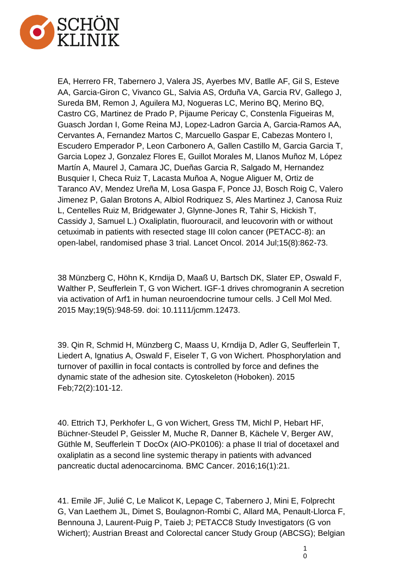

EA, Herrero FR, Tabernero J, Valera JS, Ayerbes MV, Batlle AF, Gil S, Esteve AA, Garcia-Giron C, Vivanco GL, Salvia AS, Orduña VA, Garcia RV, Gallego J, Sureda BM, Remon J, Aguilera MJ, Nogueras LC, Merino BQ, Merino BQ, Castro CG, Martinez de Prado P, Pijaume Pericay C, Constenla Figueiras M, Guasch Jordan I, Gome Reina MJ, Lopez-Ladron Garcia A, Garcia-Ramos AA, Cervantes A, Fernandez Martos C, Marcuello Gaspar E, Cabezas Montero I, Escudero Emperador P, Leon Carbonero A, Gallen Castillo M, Garcia Garcia T, Garcia Lopez J, Gonzalez Flores E, Guillot Morales M, Llanos Muñoz M, López Martín A, Maurel J, Camara JC, Dueñas Garcia R, Salgado M, Hernandez Busquier I, Checa Ruiz T, Lacasta Muñoa A, Nogue Aliguer M, Ortiz de Taranco AV, Mendez Ureña M, Losa Gaspa F, Ponce JJ, Bosch Roig C, Valero Jimenez P, Galan Brotons A, Albiol Rodriquez S, Ales Martinez J, Canosa Ruiz L, Centelles Ruiz M, Bridgewater J, Glynne-Jones R, Tahir S, Hickish T, Cassidy J, Samuel L.) Oxaliplatin, fluorouracil, and leucovorin with or without cetuximab in patients with resected stage III colon cancer (PETACC-8): an open-label, randomised phase 3 trial. Lancet Oncol. 2014 Jul;15(8):862-73.

38 Münzberg C, Höhn K, Krndija D, Maaß U, Bartsch DK, Slater EP, Oswald F, Walther P, Seufferlein T, G von Wichert. IGF-1 drives chromogranin A secretion via activation of Arf1 in human neuroendocrine tumour cells. J Cell Mol Med. 2015 May;19(5):948-59. doi: 10.1111/jcmm.12473.

39. Qin R, Schmid H, Münzberg C, Maass U, Krndija D, Adler G, Seufferlein T, Liedert A, Ignatius A, Oswald F, Eiseler T, G von Wichert. Phosphorylation and turnover of paxillin in focal contacts is controlled by force and defines the dynamic state of the adhesion site. Cytoskeleton (Hoboken). 2015 Feb;72(2):101-12.

40. Ettrich TJ, Perkhofer L, G von Wichert, Gress TM, Michl P, Hebart HF, Büchner-Steudel P, Geissler M, Muche R, Danner B, Kächele V, Berger AW, Güthle M, Seufferlein T DocOx (AIO-PK0106): a phase II trial of docetaxel and oxaliplatin as a second line systemic therapy in patients with advanced pancreatic ductal adenocarcinoma. BMC Cancer. 2016;16(1):21.

41. Emile JF, Julié C, Le Malicot K, Lepage C, Tabernero J, Mini E, Folprecht G, Van Laethem JL, Dimet S, Boulagnon-Rombi C, Allard MA, Penault-Llorca F, Bennouna J, Laurent-Puig P, Taieb J; PETACC8 Study Investigators (G von Wichert); Austrian Breast and Colorectal cancer Study Group (ABCSG); Belgian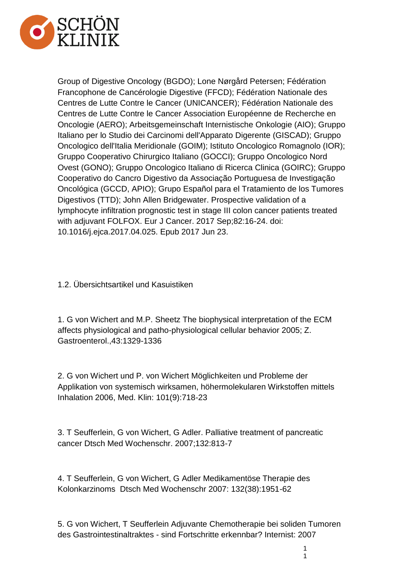

Group of Digestive Oncology (BGDO); Lone Nørgård Petersen; Fédération Francophone de Cancérologie Digestive (FFCD); Fédération Nationale des Centres de Lutte Contre le Cancer (UNICANCER); Fédération Nationale des Centres de Lutte Contre le Cancer Association Européenne de Recherche en Oncologie (AERO); Arbeitsgemeinschaft Internistische Onkologie (AIO); Gruppo Italiano per lo Studio dei Carcinomi dell'Apparato Digerente (GISCAD); Gruppo Oncologico dell'Italia Meridionale (GOIM); Istituto Oncologico Romagnolo (IOR); Gruppo Cooperativo Chirurgico Italiano (GOCCI); Gruppo Oncologico Nord Ovest (GONO); Gruppo Oncologico Italiano di Ricerca Clinica (GOIRC); Gruppo Cooperativo do Cancro Digestivo da Associação Portuguesa de Investigação Oncológica (GCCD, APIO); Grupo Español para el Tratamiento de los Tumores Digestivos (TTD); John Allen Bridgewater. Prospective validation of a lymphocyte infiltration prognostic test in stage III colon cancer patients treated with adjuvant FOLFOX. Eur J Cancer. 2017 Sep;82:16-24. doi: 10.1016/j.ejca.2017.04.025. Epub 2017 Jun 23.

1.2. Übersichtsartikel und Kasuistiken

1. G von Wichert and M.P. Sheetz The biophysical interpretation of the ECM affects physiological and patho-physiological cellular behavior 2005; Z. Gastroenterol.,43:1329-1336

2. G von Wichert und P. von Wichert Möglichkeiten und Probleme der Applikation von systemisch wirksamen, höhermolekularen Wirkstoffen mittels Inhalation 2006, Med. Klin: 101(9):718-23

3. T Seufferlein, G von Wichert, G Adler. Palliative treatment of pancreatic cancer Dtsch Med Wochenschr. 2007;132:813-7

4. T Seufferlein, G von Wichert, G Adler Medikamentöse Therapie des Kolonkarzinoms Dtsch Med Wochenschr 2007: 132(38):1951-62

5. G von Wichert, T Seufferlein Adjuvante Chemotherapie bei soliden Tumoren des Gastrointestinaltraktes - sind Fortschritte erkennbar? Internist: 2007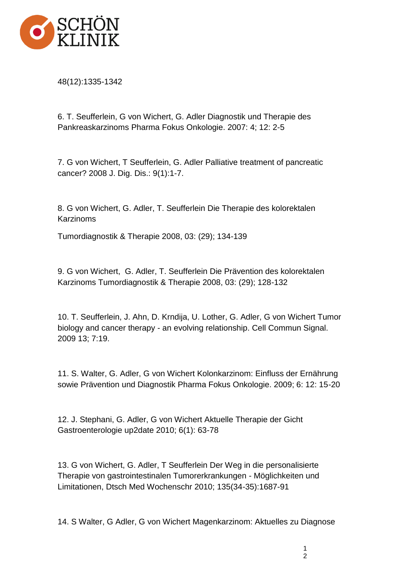

48(12):1335-1342

6. T. Seufferlein, G von Wichert, G. Adler Diagnostik und Therapie des Pankreaskarzinoms Pharma Fokus Onkologie. 2007: 4; 12: 2-5

7. G von Wichert, T Seufferlein, G. Adler Palliative treatment of pancreatic cancer? 2008 J. Dig. Dis.: 9(1):1-7.

8. G von Wichert, G. Adler, T. Seufferlein Die Therapie des kolorektalen Karzinoms

Tumordiagnostik & Therapie 2008, 03: (29); 134-139

9. G von Wichert, G. Adler, T. Seufferlein Die Prävention des kolorektalen Karzinoms Tumordiagnostik & Therapie 2008, 03: (29); 128-132

10. T. Seufferlein, J. Ahn, D. Krndija, U. Lother, G. Adler, G von Wichert Tumor biology and cancer therapy - an evolving relationship. Cell Commun Signal. 2009 13; 7:19.

11. S. Walter, G. Adler, G von Wichert Kolonkarzinom: Einfluss der Ernährung sowie Prävention und Diagnostik Pharma Fokus Onkologie. 2009; 6: 12: 15-20

12. J. Stephani, G. Adler, G von Wichert Aktuelle Therapie der Gicht Gastroenterologie up2date 2010; 6(1): 63-78

13. G von Wichert, G. Adler, T Seufferlein Der Weg in die personalisierte Therapie von gastrointestinalen Tumorerkrankungen - Möglichkeiten und Limitationen, Dtsch Med Wochenschr 2010; 135(34-35):1687-91

14. S Walter, G Adler, G von Wichert Magenkarzinom: Aktuelles zu Diagnose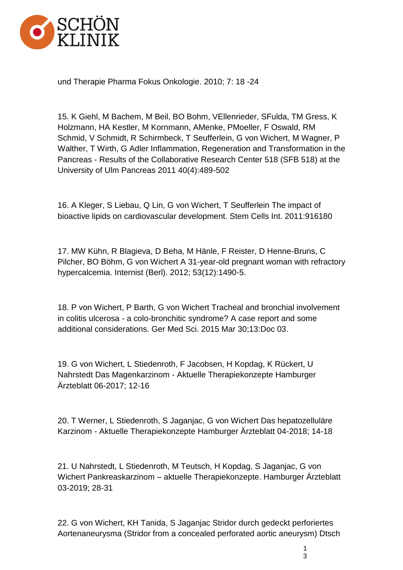

und Therapie Pharma Fokus Onkologie. 2010; 7: 18 -24

15. K Giehl, M Bachem, M Beil, BO Bohm, VEllenrieder, SFulda, TM Gress, K Holzmann, HA Kestler, M Kornmann, AMenke, PMoeller, F Oswald, RM Schmid, V Schmidt, R Schirmbeck, T Seufferlein, G von Wichert, M Wagner, P Walther, T Wirth, G Adler Inflammation, Regeneration and Transformation in the Pancreas - Results of the Collaborative Research Center 518 (SFB 518) at the University of Ulm Pancreas 2011 40(4):489-502

16. A Kleger, S Liebau, Q Lin, G von Wichert, T Seufferlein The impact of bioactive lipids on cardiovascular development. Stem Cells Int. 2011:916180

17. MW Kühn, R Blagieva, D Beha, M Hänle, F Reister, D Henne-Bruns, C Pilcher, BO Böhm, G von Wichert A 31-year-old pregnant woman with refractory hypercalcemia. Internist (Berl). 2012; 53(12):1490-5.

18. P von Wichert, P Barth, G von Wichert Tracheal and bronchial involvement in colitis ulcerosa - a colo-bronchitic syndrome? A case report and some additional considerations. Ger Med Sci. 2015 Mar 30;13:Doc 03.

19. G von Wichert, L Stiedenroth, F Jacobsen, H Kopdag, K Rückert, U Nahrstedt Das Magenkarzinom - Aktuelle Therapiekonzepte Hamburger Ärzteblatt 06-2017; 12-16

20. T Werner, L Stiedenroth, S Jaganjac, G von Wichert Das hepatozelluläre Karzinom - Aktuelle Therapiekonzepte Hamburger Ärzteblatt 04-2018; 14-18

21. U Nahrstedt, L Stiedenroth, M Teutsch, H Kopdag, S Jaganjac, G von Wichert Pankreaskarzinom – aktuelle Therapiekonzepte. Hamburger Ärzteblatt 03-2019; 28-31

22. G von Wichert, KH Tanida, S Jaganjac Stridor durch gedeckt perforiertes Aortenaneurysma (Stridor from a concealed perforated aortic aneurysm) Dtsch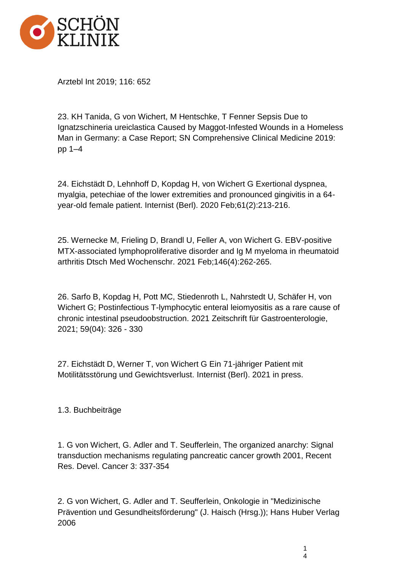

Arztebl Int 2019; 116: 652

23. KH Tanida, G von Wichert, M Hentschke, T Fenner Sepsis Due to Ignatzschineria ureiclastica Caused by Maggot-Infested Wounds in a Homeless Man in Germany: a Case Report; SN Comprehensive Clinical Medicine 2019: pp 1–4

24. Eichstädt D, Lehnhoff D, Kopdag H, von Wichert G Exertional dyspnea, myalgia, petechiae of the lower extremities and pronounced gingivitis in a 64 year-old female patient. Internist (Berl). 2020 Feb;61(2):213-216.

25. Wernecke M, Frieling D, Brandl U, Feller A, von Wichert G. EBV-positive MTX-associated lymphoproliferative disorder and Ig M myeloma in rheumatoid arthritis Dtsch Med Wochenschr. 2021 Feb;146(4):262-265.

26. Sarfo B, Kopdag H, Pott MC, Stiedenroth L, Nahrstedt U, Schäfer H, von Wichert G; Postinfectious T-lymphocytic enteral leiomyositis as a rare cause of chronic intestinal pseudoobstruction. 2021 Zeitschrift für Gastroenterologie, 2021; 59(04): 326 - 330

27. Eichstädt D, Werner T, von Wichert G Ein 71-jähriger Patient mit Motilitätsstörung und Gewichtsverlust. Internist (Berl). 2021 in press.

## 1.3. Buchbeiträge

1. G von Wichert, G. Adler and T. Seufferlein, The organized anarchy: Signal transduction mechanisms regulating pancreatic cancer growth 2001, Recent Res. Devel. Cancer 3: 337-354

2. G von Wichert, G. Adler and T. Seufferlein, Onkologie in "Medizinische Prävention und Gesundheitsförderung" (J. Haisch (Hrsg.)); Hans Huber Verlag 2006